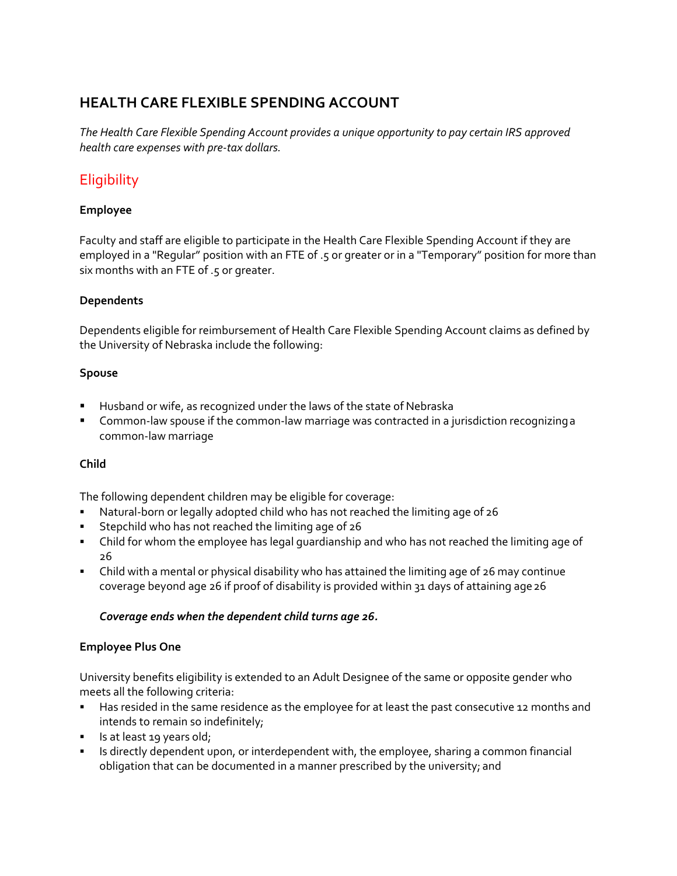# **HEALTH CARE FLEXIBLE SPENDING ACCOUNT**

*The Health Care Flexible Spending Account provides a unique opportunity to pay certain IRS approved health care expenses with pre‐tax dollars.*

# **Eligibility**

### **Employee**

Faculty and staff are eligible to participate in the Health Care Flexible Spending Account if they are employed in a "Regular" position with an FTE of .5 or greater or in a "Temporary" position for more than six months with an FTE of .5 or greater.

### **Dependents**

Dependents eligible for reimbursement of Health Care Flexible Spending Account claims as defined by the University of Nebraska include the following:

#### **Spouse**

- Husband or wife, as recognized under the laws of the state of Nebraska
- Common‐law spouse if the common‐law marriage was contracted in a jurisdiction recognizinga common‐law marriage

### **Child**

The following dependent children may be eligible for coverage:

- Natural‐born or legally adopted child who has not reached the limiting age of 26
- Stepchild who has not reached the limiting age of 26
- Child for whom the employee has legal guardianship and who has not reached the limiting age of 26
- Child with a mental or physical disability who has attained the limiting age of 26 may continue coverage beyond age 26 if proof of disability is provided within 31 days of attaining age26

### *Coverage ends when the dependent child turns age 26.*

### **Employee Plus One**

University benefits eligibility is extended to an Adult Designee of the same or opposite gender who meets all the following criteria:

- **Has resided in the same residence as the employee for at least the past consecutive 12 months and** intends to remain so indefinitely;
- Is at least 19 years old;
- Is directly dependent upon, or interdependent with, the employee, sharing a common financial obligation that can be documented in a manner prescribed by the university; and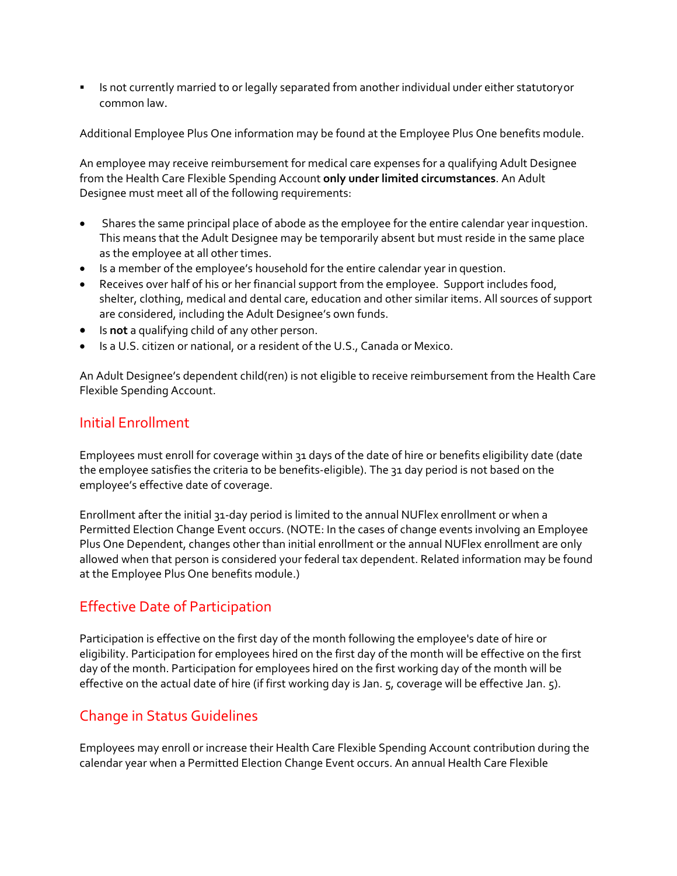Is not currently married to or legally separated from another individual under either statutoryor common law.

Additional Employee Plus One information may be found at the Employee Plus One benefits module.

An employee may receive reimbursement for medical care expenses for a qualifying Adult Designee from the Health Care Flexible Spending Account **only under limited circumstances**. An Adult Designee must meet all of the following requirements:

- Shares the same principal place of abode as the employee for the entire calendar year inquestion. This means that the Adult Designee may be temporarily absent but must reside in the same place as the employee at all other times.
- Is a member of the employee's household for the entire calendar year in question.
- Receives over half of his or her financial support from the employee. Support includes food, shelter, clothing, medical and dental care, education and other similar items. All sources of support are considered, including the Adult Designee's own funds.
- Is **not** a qualifying child of any other person.
- Is a U.S. citizen or national, or a resident of the U.S., Canada or Mexico.

An Adult Designee's dependent child(ren) is not eligible to receive reimbursement from the Health Care Flexible Spending Account.

### Initial Enrollment

Employees must enroll for coverage within 31 days of the date of hire or benefits eligibility date (date the employee satisfies the criteria to be benefits‐eligible). The 31 day period is not based on the employee's effective date of coverage.

Enrollment after the initial 31‐day period is limited to the annual NUFlex enrollment or when a Permitted Election Change Event occurs. (NOTE: In the cases of change events involving an Employee Plus One Dependent, changes other than initial enrollment or the annual NUFlex enrollment are only allowed when that person is considered your federal tax dependent. Related information may be found at the Employee Plus One benefits module.)

# Effective Date of Participation

Participation is effective on the first day of the month following the employee's date of hire or eligibility. Participation for employees hired on the first day of the month will be effective on the first day of the month. Participation for employees hired on the first working day of the month will be effective on the actual date of hire (if first working day is Jan. 5, coverage will be effective Jan. 5).

# Change in Status Guidelines

Employees may enroll or increase their Health Care Flexible Spending Account contribution during the calendar year when a Permitted Election Change Event occurs. An annual Health Care Flexible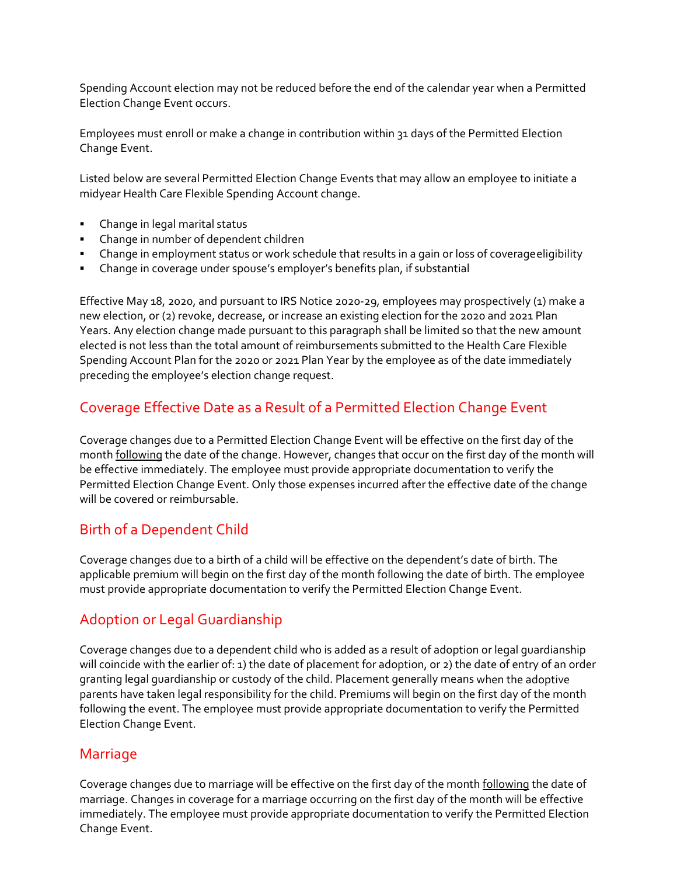Spending Account election may not be reduced before the end of the calendar year when a Permitted Election Change Event occurs.

Employees must enroll or make a change in contribution within 31 days of the Permitted Election Change Event.

Listed below are several Permitted Election Change Events that may allow an employee to initiate a midyear Health Care Flexible Spending Account change.

- Change in legal marital status
- Change in number of dependent children
- Change in employment status or work schedule that results in a gain or loss of coverageeligibility
- Change in coverage under spouse's employer's benefits plan, if substantial

Effective May 18, 2020, and pursuant to IRS Notice 2020‐29, employees may prospectively (1) make a new election, or (2) revoke, decrease, or increase an existing election for the 2020 and 2021 Plan Years. Any election change made pursuant to this paragraph shall be limited so that the new amount elected is not less than the total amount of reimbursements submitted to the Health Care Flexible Spending Account Plan for the 2020 or 2021 Plan Year by the employee as of the date immediately preceding the employee's election change request.

# Coverage Effective Date as a Result of a Permitted Election Change Event

Coverage changes due to a Permitted Election Change Event will be effective on the first day of the month following the date of the change. However, changes that occur on the first day of the month will be effective immediately. The employee must provide appropriate documentation to verify the Permitted Election Change Event. Only those expenses incurred after the effective date of the change will be covered or reimbursable.

# Birth of a Dependent Child

Coverage changes due to a birth of a child will be effective on the dependent's date of birth. The applicable premium will begin on the first day of the month following the date of birth. The employee must provide appropriate documentation to verify the Permitted Election Change Event.

# Adoption or Legal Guardianship

Coverage changes due to a dependent child who is added as a result of adoption or legal guardianship will coincide with the earlier of: 1) the date of placement for adoption, or 2) the date of entry of an order granting legal guardianship or custody of the child. Placement generally means when the adoptive parents have taken legal responsibility for the child. Premiums will begin on the first day of the month following the event. The employee must provide appropriate documentation to verify the Permitted Election Change Event.

### Marriage

Coverage changes due to marriage will be effective on the first day of the month following the date of marriage. Changes in coverage for a marriage occurring on the first day of the month will be effective immediately. The employee must provide appropriate documentation to verify the Permitted Election Change Event.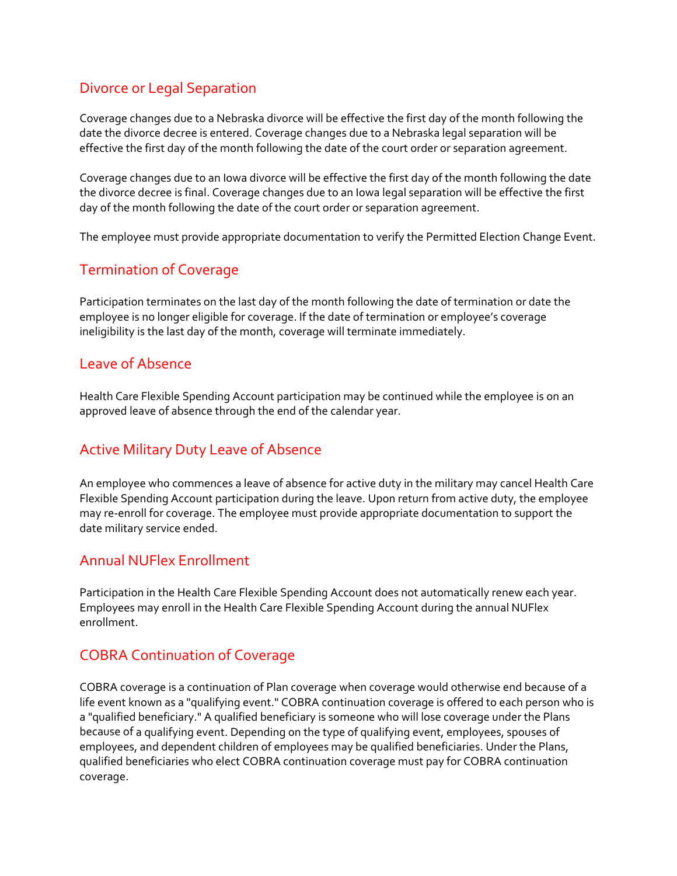# Divorce or Legal Separation

Coverage changes due to a Nebraska divorce will be effective the first day of the month following the date the divorce decree is entered. Coverage changes due to a Nebraska legal separation will be effective the first day of the month following the date of the court order or separation agreement.

Coverage changes due to an Iowa divorce will be effective the first day of the month following the date the divorce decree is final. Coverage changes due to an Iowa legal separation will be effective the first day of the month following the date of the court order or separation agreement.

The employee must provide appropriate documentation to verify the Permitted Election Change Event.

# Termination of Coverage

Participation terminates on the last day of the month following the date of termination or date the employee is no longer eligible for coverage. If the date of termination or employee's coverage ineligibility is the last day of the month, coverage will terminate immediately.

# Leave of Absence

Health Care Flexible Spending Account participation may be continued while the employee is on an approved leave of absence through the end of the calendar year.

# Active Military Duty Leave of Absence

An employee who commences a leave of absence for active duty in the military may cancel Health Care Flexible Spending Account participation during the leave. Upon return from active duty, the employee may re‐enroll for coverage. The employee must provide appropriate documentation to support the date military service ended.

# Annual NUFlex Enrollment

Participation in the Health Care Flexible Spending Account does not automatically renew each year. Employees may enroll in the Health Care Flexible Spending Account during the annual NUFlex enrollment.

# COBRA Continuation of Coverage

COBRA coverage is a continuation of Plan coverage when coverage would otherwise end because of a life event known as a "qualifying event." COBRA continuation coverage is offered to each person who is a "qualified beneficiary." A qualified beneficiary is someone who will lose coverage under the Plans because of a qualifying event. Depending on the type of qualifying event, employees, spouses of employees, and dependent children of employees may be qualified beneficiaries. Under the Plans, qualified beneficiaries who elect COBRA continuation coverage must pay for COBRA continuation coverage.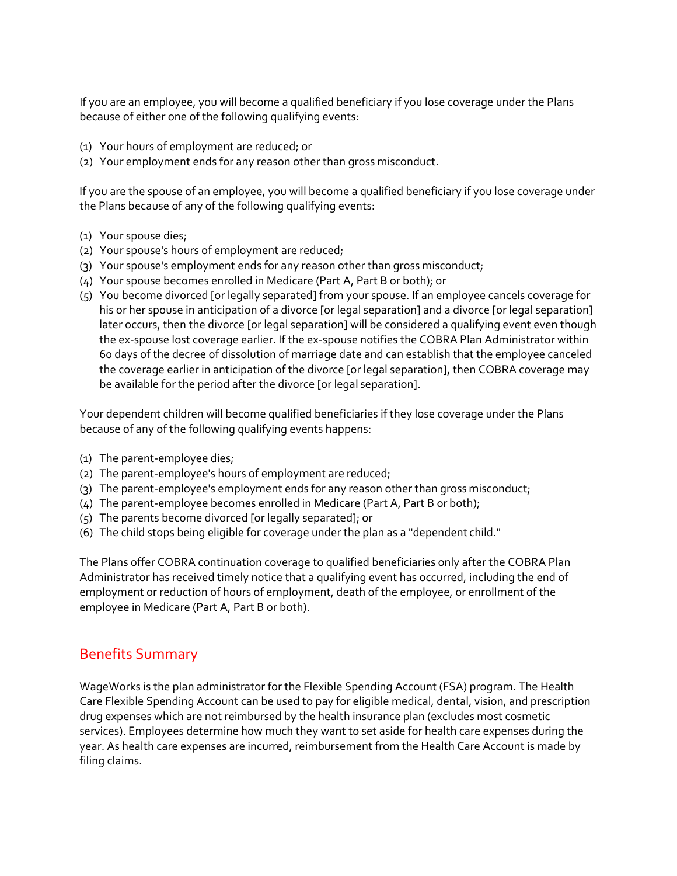If you are an employee, you will become a qualified beneficiary if you lose coverage under the Plans because of either one of the following qualifying events:

- (1) Your hours of employment are reduced; or
- (2) Your employment ends for any reason other than gross misconduct.

If you are the spouse of an employee, you will become a qualified beneficiary if you lose coverage under the Plans because of any of the following qualifying events:

- (1) Your spouse dies;
- (2) Your spouse's hours of employment are reduced;
- (3) Your spouse's employment ends for any reason other than gross misconduct;
- (4) Your spouse becomes enrolled in Medicare (Part A, Part B or both); or
- (5) You become divorced [or legally separated] from your spouse. If an employee cancels coverage for his or her spouse in anticipation of a divorce [or legal separation] and a divorce [or legal separation] later occurs, then the divorce [or legal separation] will be considered a qualifying event even though the ex‐spouse lost coverage earlier. If the ex‐spouse notifies the COBRA Plan Administrator within 60 days of the decree of dissolution of marriage date and can establish that the employee canceled the coverage earlier in anticipation of the divorce [or legal separation], then COBRA coverage may be available for the period after the divorce [or legal separation].

Your dependent children will become qualified beneficiaries if they lose coverage under the Plans because of any of the following qualifying events happens:

- (1) The parent‐employee dies;
- (2) The parent‐employee's hours of employment are reduced;
- (3) The parent‐employee's employment ends for any reason other than gross misconduct;
- (4) The parent‐employee becomes enrolled in Medicare (Part A, Part B or both);
- (5) The parents become divorced [or legally separated]; or
- (6) The child stops being eligible for coverage under the plan as a "dependent child."

The Plans offer COBRA continuation coverage to qualified beneficiaries only after the COBRA Plan Administrator has received timely notice that a qualifying event has occurred, including the end of employment or reduction of hours of employment, death of the employee, or enrollment of the employee in Medicare (Part A, Part B or both).

### Benefits Summary

WageWorks is the plan administrator for the Flexible Spending Account (FSA) program. The Health Care Flexible Spending Account can be used to pay for eligible medical, dental, vision, and prescription drug expenses which are not reimbursed by the health insurance plan (excludes most cosmetic services). Employees determine how much they want to set aside for health care expenses during the year. As health care expenses are incurred, reimbursement from the Health Care Account is made by filing claims.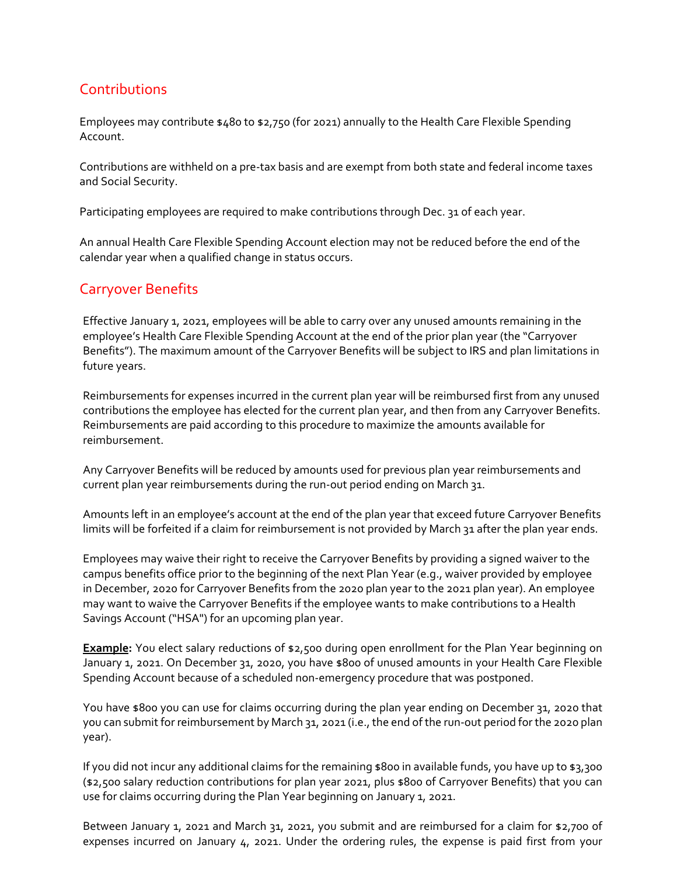# **Contributions**

Employees may contribute \$480 to \$2,750 (for 2021) annually to the Health Care Flexible Spending Account.

Contributions are withheld on a pre‐tax basis and are exempt from both state and federal income taxes and Social Security.

Participating employees are required to make contributions through Dec. 31 of each year.

An annual Health Care Flexible Spending Account election may not be reduced before the end of the calendar year when a qualified change in status occurs.

## Carryover Benefits

Effective January 1, 2021, employees will be able to carry over any unused amounts remaining in the employee's Health Care Flexible Spending Account at the end of the prior plan year (the "Carryover Benefits"). The maximum amount of the Carryover Benefits will be subject to IRS and plan limitations in future years.

Reimbursements for expenses incurred in the current plan year will be reimbursed first from any unused contributions the employee has elected for the current plan year, and then from any Carryover Benefits. Reimbursements are paid according to this procedure to maximize the amounts available for reimbursement.

Any Carryover Benefits will be reduced by amounts used for previous plan year reimbursements and current plan year reimbursements during the run-out period ending on March 31.

Amounts left in an employee's account at the end of the plan year that exceed future Carryover Benefits limits will be forfeited if a claim for reimbursement is not provided by March 31 after the plan year ends.

Employees may waive their right to receive the Carryover Benefits by providing a signed waiver to the campus benefits office prior to the beginning of the next Plan Year (e.g., waiver provided by employee in December, 2020 for Carryover Benefits from the 2020 plan year to the 2021 plan year). An employee may want to waive the Carryover Benefits if the employee wants to make contributions to a Health Savings Account ("HSA") for an upcoming plan year.

**Example:** You elect salary reductions of \$2,500 during open enrollment for the Plan Year beginning on January 1, 2021. On December 31, 2020, you have \$800 of unused amounts in your Health Care Flexible Spending Account because of a scheduled non‐emergency procedure that was postponed.

You have \$800 you can use for claims occurring during the plan year ending on December 31, 2020 that you can submit for reimbursement by March 31, 2021 (i.e., the end of the run‐out period for the 2020 plan year).

If you did not incur any additional claims for the remaining \$800 in available funds, you have up to \$3,300 (\$2,500 salary reduction contributions for plan year 2021, plus \$800 of Carryover Benefits) that you can use for claims occurring during the Plan Year beginning on January 1, 2021.

Between January 1, 2021 and March 31, 2021, you submit and are reimbursed for a claim for \$2,700 of expenses incurred on January 4, 2021. Under the ordering rules, the expense is paid first from your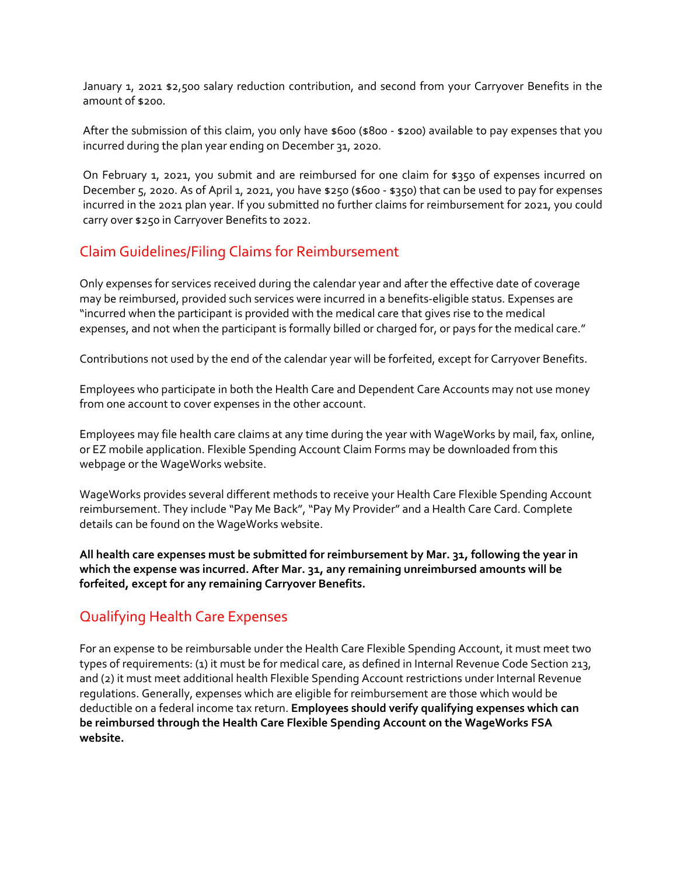January 1, 2021 \$2,500 salary reduction contribution, and second from your Carryover Benefits in the amount of \$200.

After the submission of this claim, you only have \$600 (\$800 - \$200) available to pay expenses that you incurred during the plan year ending on December 31, 2020.

On February 1, 2021, you submit and are reimbursed for one claim for \$350 of expenses incurred on December 5, 2020. As of April 1, 2021, you have \$250 (\$600 ‐ \$350) that can be used to pay for expenses incurred in the 2021 plan year. If you submitted no further claims for reimbursement for 2021, you could carry over \$250 in Carryover Benefits to 2022.

# Claim Guidelines/Filing Claims for Reimbursement

Only expenses for services received during the calendar year and after the effective date of coverage may be reimbursed, provided such services were incurred in a benefits-eligible status. Expenses are "incurred when the participant is provided with the medical care that gives rise to the medical expenses, and not when the participant is formally billed or charged for, or pays for the medical care."

Contributions not used by the end of the calendar year will be forfeited, except for Carryover Benefits.

Employees who participate in both the Health Care and Dependent Care Accounts may not use money from one account to cover expenses in the other account.

Employees may file health care claims at any time during the year with WageWorks by mail, fax, online, or EZ mobile application. Flexible Spending Account Claim Forms may be downloaded from this webpage or the WageWorks website.

WageWorks provides several different methods to receive your Health Care Flexible Spending Account reimbursement. They include "Pay Me Back", "Pay My Provider" and a Health Care Card. Complete details can be found on the WageWorks website.

**All health care expenses must be submitted for reimbursement by Mar. 31, following the year in which the expense was incurred. After Mar. 31, any remaining unreimbursed amounts will be forfeited, except for any remaining Carryover Benefits.**

# Qualifying Health Care Expenses

For an expense to be reimbursable under the Health Care Flexible Spending Account, it must meet two types of requirements: (1) it must be for medical care, as defined in Internal Revenue Code Section 213, and (2) it must meet additional health Flexible Spending Account restrictions under Internal Revenue regulations. Generally, expenses which are eligible for reimbursement are those which would be deductible on a federal income tax return. **Employees should verify qualifying expenses which can be reimbursed through the Health Care Flexible Spending Account on the WageWorks FSA website.**